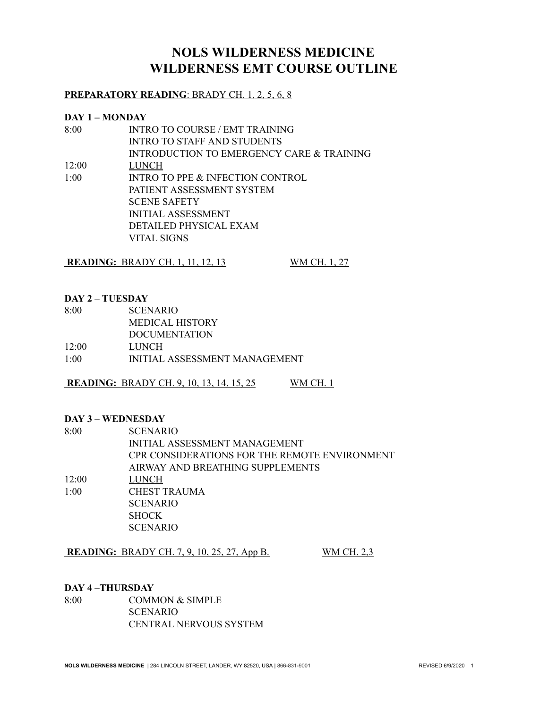# **NOLS WILDERNESS MEDICINE WILDERNESS EMT COURSE OUTLINE**

# **PREPARATORY READING**: BRADY CH. 1, 2, 5, 6, 8

#### **DAY 1 – MONDAY**

| 8:00  | <b>INTRO TO COURSE / EMT TRAINING</b>     |
|-------|-------------------------------------------|
|       | <b>INTRO TO STAFF AND STUDENTS</b>        |
|       | INTRODUCTION TO EMERGENCY CARE & TRAINING |
| 12:00 | LUNCH                                     |
| 1:00  | INTRO TO PPE & INFECTION CONTROL          |
|       | PATIENT ASSESSMENT SYSTEM                 |
|       | <b>SCENE SAFETY</b>                       |
|       | <b>INITIAL ASSESSMENT</b>                 |
|       | DETAILED PHYSICAL EXAM                    |
|       | VITAL SIGNS                               |
|       |                                           |

**READING:** BRADY CH. 1, 11, 12, 13 WM CH. 1, 27

#### **DAY 2** – **TUESDAY**

| <b>SCENARIO</b>               |
|-------------------------------|
| <b>MEDICAL HISTORY</b>        |
| <b>DOCUMENTATION</b>          |
| LUNCH-                        |
| INITIAL ASSESSMENT MANAGEMENT |
|                               |

**READING:** BRADY CH. 9, 10, 13, 14, 15, 25 WM CH. 1

### **DAY 3 – WEDNESDAY**

| 8:00  | <b>SCENARIO</b>                               |
|-------|-----------------------------------------------|
|       | <b>INITIAL ASSESSMENT MANAGEMENT</b>          |
|       | CPR CONSIDERATIONS FOR THE REMOTE ENVIRONMENT |
|       | AIRWAY AND BREATHING SUPPLEMENTS              |
| 12:00 | LUNCH                                         |
| 1:00  | CHEST TRAUMA                                  |
|       | <b>SCENARIO</b>                               |
|       | <b>SHOCK</b>                                  |
|       | <b>SCENARIO</b>                               |
|       |                                               |

**READING:** BRADY CH. 7, 9, 10, 25, 27, App B. WM CH. 2,3

### **DAY 4 –THURSDAY**

8:00 COMMON & SIMPLE SCENARIO CENTRAL NERVOUS SYSTEM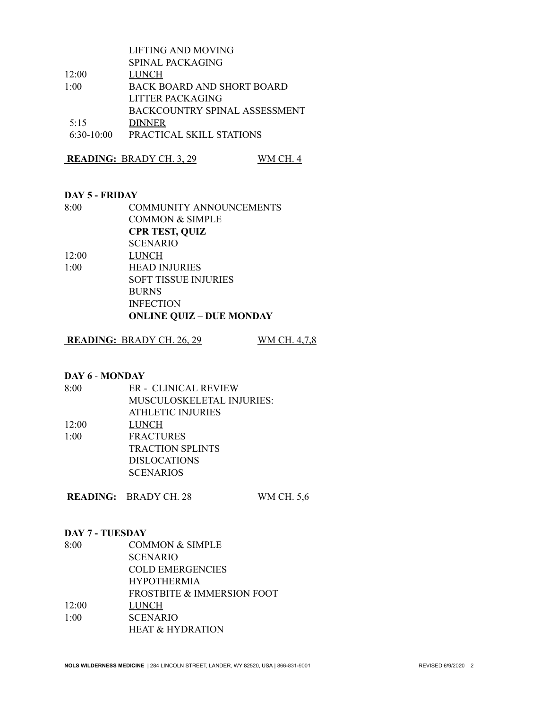|              | LIFTING AND MOVING                |
|--------------|-----------------------------------|
|              | SPINAL PACKAGING                  |
| 12:00        | LUNCH                             |
| 1:00         | <b>BACK BOARD AND SHORT BOARD</b> |
|              | LITTER PACKAGING                  |
|              | BACKCOUNTRY SPINAL ASSESSMENT     |
| 5.15         | <b>DINNER</b>                     |
| $6:30-10:00$ | PRACTICAL SKILL STATIONS          |
|              |                                   |

**READING:** BRADY CH. 3, 29 WM CH. 4

#### **DAY 5 - FRIDAY**

| <b>COMMUNITY ANNOUNCEMENTS</b> |
|--------------------------------|
| <b>COMMON &amp; SIMPLE</b>     |
| <b>CPR TEST, QUIZ</b>          |
| <b>SCENARIO</b>                |
| <b>LUNCH</b>                   |
| <b>HEAD INJURIES</b>           |
|                                |

SOFT TISSUE INJURIES BURNS INFECTION **ONLINE QUIZ – DUE MONDAY**

## **READING:** BRADY CH. 26, 29 WM CH. 4,7,8

#### **DAY 6** - **MONDAY**

| 8:00  | ER - CLINICAL REVIEW      |
|-------|---------------------------|
|       | MUSCULOSKELETAL INJURIES: |
|       | ATHLETIC INJURIES         |
| 12:00 | <b>LUNCH</b>              |
| 1:00  | <b>FRACTURES</b>          |
|       | <b>TRACTION SPLINTS</b>   |
|       | <b>DISLOCATIONS</b>       |
|       | <b>SCENARIOS</b>          |

**READING:** BRADY CH. 28 WM CH. 5,6

#### **DAY 7 - TUESDAY**

| 8:00  | <b>COMMON &amp; SIMPLE</b>            |
|-------|---------------------------------------|
|       | <b>SCENARIO</b>                       |
|       | <b>COLD EMERGENCIES</b>               |
|       | <b>HYPOTHERMIA</b>                    |
|       | <b>FROSTBITE &amp; IMMERSION FOOT</b> |
| 12:00 | LUNCH                                 |
| 1:00  | <b>SCENARIO</b>                       |
|       | <b>HEAT &amp; HYDRATION</b>           |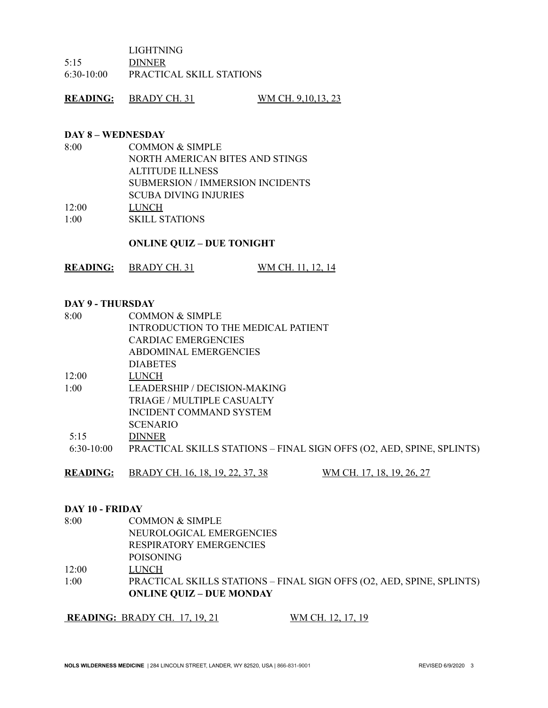LIGHTNING

5:15 DINNER

6:30-10:00 PRACTICAL SKILL STATIONS

**READING:** BRADY CH. 31 WM CH. 9,10,13, 23

#### **DAY 8 – WEDNESDAY**

| 8:00  | <b>COMMON &amp; SIMPLE</b>              |
|-------|-----------------------------------------|
|       | NORTH AMERICAN BITES AND STINGS         |
|       | ALTITUDE ILLNESS                        |
|       | <b>SUBMERSION / IMMERSION INCIDENTS</b> |
|       | <b>SCUBA DIVING INJURIES</b>            |
| 12:00 | LUNCH                                   |
| 1:00  | <b>SKILL STATIONS</b>                   |

#### **ONLINE QUIZ – DUE TONIGHT**

|  | READING: | <b>BRADY CH. 31</b> | WM CH, 11, 12, 14 |
|--|----------|---------------------|-------------------|
|--|----------|---------------------|-------------------|

#### **DAY 9 - THURSDAY**

| 8:00         | <b>COMMON &amp; SIMPLE</b>                                            |
|--------------|-----------------------------------------------------------------------|
|              | INTRODUCTION TO THE MEDICAL PATIENT                                   |
|              | <b>CARDIAC EMERGENCIES</b>                                            |
|              | ABDOMINAL EMERGENCIES                                                 |
|              | <b>DIABETES</b>                                                       |
| 12:00        | LUNCH                                                                 |
| 1:00         | LEADERSHIP / DECISION-MAKING                                          |
|              | TRIAGE / MULTIPLE CASUALTY                                            |
|              | INCIDENT COMMAND SYSTEM                                               |
|              | <b>SCENARIO</b>                                                       |
| 5:15         | <b>DINNER</b>                                                         |
| $6:30-10:00$ | PRACTICAL SKILLS STATIONS – FINAL SIGN OFFS (O2, AED, SPINE, SPLINTS) |
|              |                                                                       |

**READING:** BRADY CH. 16, 18, 19, 22, 37, 38 WM CH. 17, 18, 19, 26, 27

#### **DAY 10 - FRIDAY**

8:00 COMMON & SIMPLE NEUROLOGICAL EMERGENCIES RESPIRATORY EMERGENCIES POISONING 12:00 LUNCH 1:00 PRACTICAL SKILLS STATIONS – FINAL SIGN OFFS (O2, AED, SPINE, SPLINTS) **ONLINE QUIZ – DUE MONDAY**

**READING:** BRADY CH. 17, 19, 21 WM CH. 12, 17, 19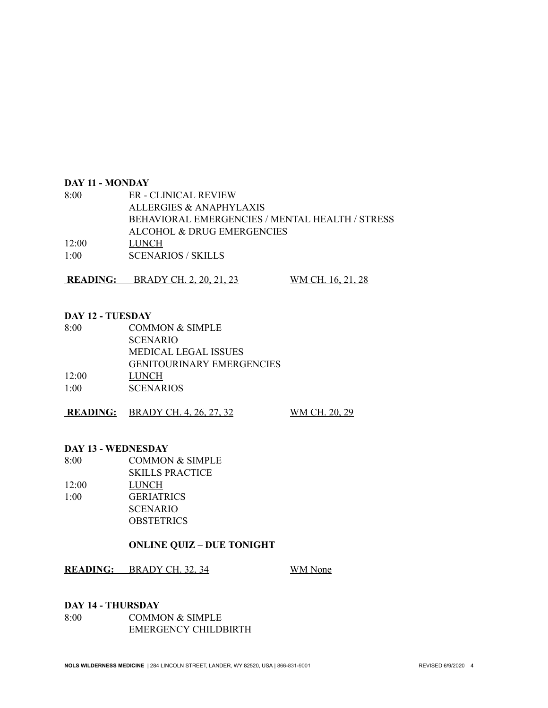#### **DAY 11 - MONDAY**

| 8:00  | ER - CLINICAL REVIEW                            |
|-------|-------------------------------------------------|
|       | ALLERGIES & ANAPHYLAXIS                         |
|       | BEHAVIORAL EMERGENCIES / MENTAL HEALTH / STRESS |
|       | ALCOHOL & DRUG EMERGENCIES                      |
| 12:00 | LUNCH-                                          |
| 1:00  | <b>SCENARIOS / SKILLS</b>                       |

**READING:** BRADY CH. 2, 20, 21, 23 WM CH. 16, 21, 28

#### **DAY 12 - TUESDAY**

| 8:00  | <b>COMMON &amp; SIMPLE</b>       |
|-------|----------------------------------|
|       | <b>SCENARIO</b>                  |
|       | MEDICAL LEGAL ISSUES             |
|       | <b>GENITOURINARY EMERGENCIES</b> |
| 12:00 | LUNCH                            |
| 1:00  | <b>SCENARIOS</b>                 |

**READING:** BRADY CH. 4, 26, 27, 32 WM CH. 20, 29

#### **DAY 13 - WEDNESDAY**

- 8:00 COMMON & SIMPLE
- SKILLS PRACTICE 12:00 LUNCH 1:00 GERIATRICS SCENARIO **OBSTETRICS**

# **ONLINE QUIZ – DUE TONIGHT**

**READING:** BRADY CH. 32, 34 WM None

#### **DAY 14 - THURSDAY**

8:00 COMMON & SIMPLE EMERGENCY CHILDBIRTH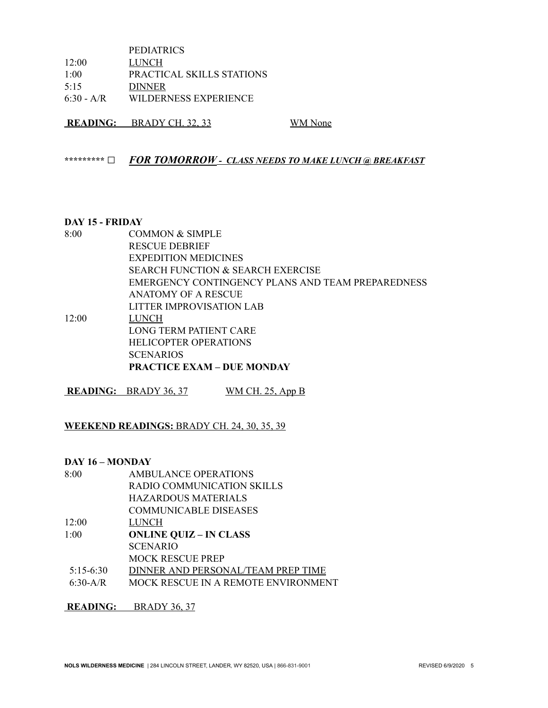PEDIATRICS 12:00 LUNCH 1:00 PRACTICAL SKILLS STATIONS 5:15 DINNER 6:30 - A/R WILDERNESS EXPERIENCE

**READING:** BRADY CH. 32, 33 WM None

**\*\*\*\*\*\*\*\*\* □** *FOR TOMORROW - CLASS NEEDS TO MAKE LUNCH @ BREAKFAST*

#### **DAY 15 - FRIDAY**

8:00 COMMON & SIMPLE RESCUE DEBRIEF EXPEDITION MEDICINES SEARCH FUNCTION & SEARCH EXERCISE EMERGENCY CONTINGENCY PLANS AND TEAM PREPAREDNESS ANATOMY OF A RESCUE LITTER IMPROVISATION LAB 12:00 LUNCH LONG TERM PATIENT CARE HELICOPTER OPERATIONS **SCENARIOS PRACTICE EXAM – DUE MONDAY**

**READING:** BRADY 36, 37 WM CH. 25, App B

### **WEEKEND READINGS:** BRADY CH. 24, 30, 35, 39

#### **DAY 16 – MONDAY**

- 8:00 AMBULANCE OPERATIONS RADIO COMMUNICATION SKILLS HAZARDOUS MATERIALS COMMUNICABLE DISEASES 12:00 LUNCH 1:00 **ONLINE QUIZ – IN CLASS** SCENARIO MOCK RESCUE PREP
- 5:15-6:30 DINNER AND PERSONAL/TEAM PREP TIME
- 6:30-A/R MOCK RESCUE IN A REMOTE ENVIRONMENT

**READING:** BRADY 36, 37